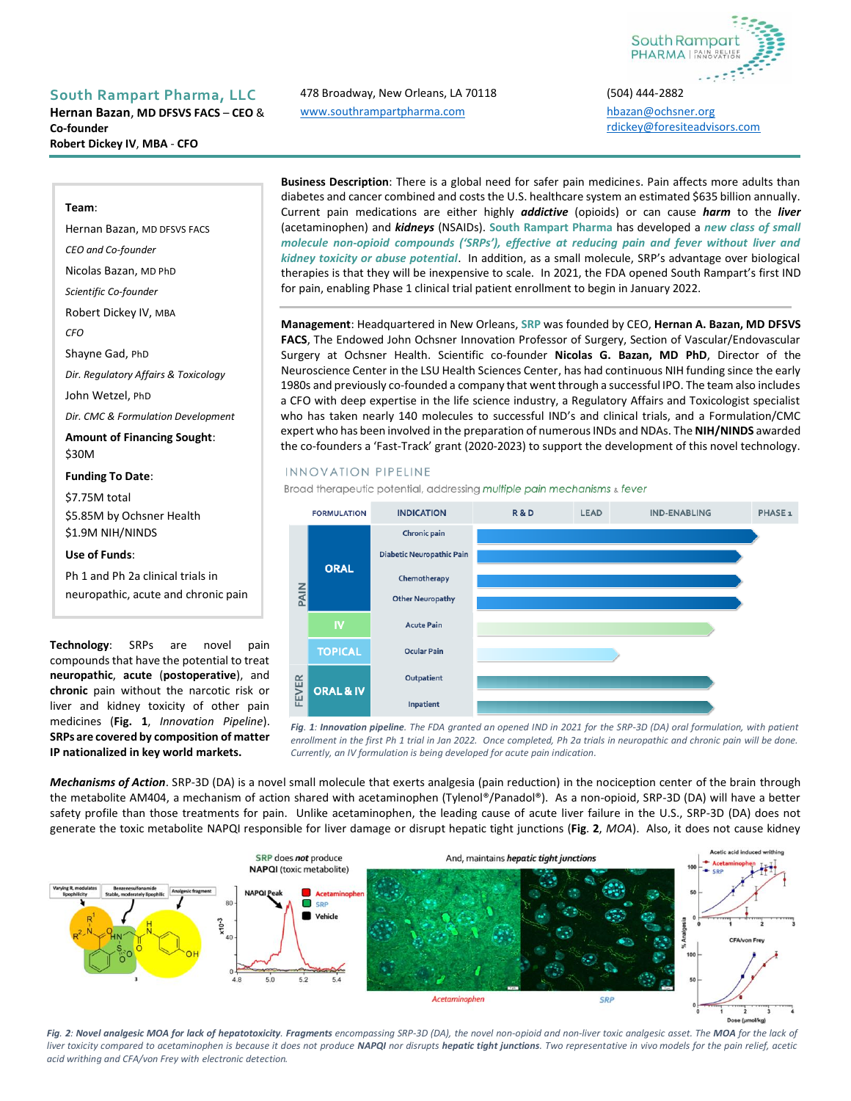

### **South Rampart Pharma, LLC** 478 Broadway, New Orleans, LA 70118 (504) 444-2882

**Hernan Bazan**, **MD DFSVS FACS** – **CEO** & **Co-founder Robert Dickey IV**, **MBA** - **CFO**

# [www.southrampartpharma.com](http://www.southrampartpharma.com/) [hbazan@ochsner.org](mailto:hbazan@ochsner.org)

[rdickey@foresiteadvisors.com](mailto:rdickey@foresiteadvisors.com)

#### **Team**:

Hernan Bazan, MD DFSVS FACS *CEO and Co-founder* Nicolas Bazan, MD PhD *Scientific Co-founder* Robert Dickey IV, MBA *CFO* Shayne Gad, PhD *Dir. Regulatory Affairs & Toxicology* John Wetzel, PhD *Dir. CMC & Formulation Development* **Amount of Financing Sought**: \$30M **Funding To Date**: \$7.75M total \$5.85M by Ochsner Health \$1.9M NIH/NINDS **Use of Funds**:

Ph 1 and Ph 2a clinical trials in neuropathic, acute and chronic pain

**Technology**: SRPs are novel pain compounds that have the potential to treat **neuropathic**, **acute** (**postoperative**), and **chronic** pain without the narcotic risk or liver and kidney toxicity of other pain medicines (**Fig. 1**, *Innovation Pipeline*). **SRPs are covered by composition of matter IP nationalized in key world markets.**

**Business Description**: There is a global need for safer pain medicines. Pain affects more adults than diabetes and cancer combined and costs the U.S. healthcare system an estimated \$635 billion annually. Current pain medications are either highly *addictive* (opioids) or can cause *harm* to the *liver* (acetaminophen) and *kidneys* (NSAIDs). **South Rampart Pharma** has developed a *new class of small molecule non-opioid compounds ('SRPs'), effective at reducing pain and fever without liver and kidney toxicity or abuse potential*. In addition, as a small molecule, SRP's advantage over biological therapies is that they will be inexpensive to scale. In 2021, the FDA opened South Rampart's first IND for pain, enabling Phase 1 clinical trial patient enrollment to begin in January 2022.

**Management**: Headquartered in New Orleans, **SRP** was founded by CEO, **Hernan A. Bazan, MD DFSVS FACS**, The Endowed John Ochsner Innovation Professor of Surgery, Section of Vascular/Endovascular Surgery at Ochsner Health. Scientific co-founder **Nicolas G. Bazan, MD PhD**, Director of the Neuroscience Center in the LSU Health Sciences Center, has had continuous NIH funding since the early 1980s and previously co-founded a company that went through a successful IPO. The team also includes a CFO with deep expertise in the life science industry, a Regulatory Affairs and Toxicologist specialist who has taken nearly 140 molecules to successful IND's and clinical trials, and a Formulation/CMC expert who has been involved in the preparation of numerous INDs and NDAs. The **NIH/NINDS** awarded the co-founders a 'Fast-Track' grant (2020-2023) to support the development of this novel technology.

#### **INNOVATION PIPELINE**

Broad therapeutic potential, addressing multiple pain mechanisms & fever



*Fig. 1: Innovation pipeline. The FDA granted an opened IND in 2021 for the SRP-3D (DA) oral formulation, with patient enrollment in the first Ph 1 trial in Jan 2022. Once completed, Ph 2a trials in neuropathic and chronic pain will be done. Currently, an IV formulation is being developed for acute pain indication.*

*Mechanisms of Action*. SRP-3D (DA) is a novel small molecule that exerts analgesia (pain reduction) in the nociception center of the brain through the metabolite AM404, a mechanism of action shared with acetaminophen (Tylenol®/Panadol®). As a non-opioid, SRP-3D (DA) will have a better safety profile than those treatments for pain. Unlike acetaminophen, the leading cause of acute liver failure in the U.S., SRP-3D (DA) does not generate the toxic metabolite NAPQI responsible for liver damage or disrupt hepatic tight junctions (**Fig**. **2**, *MOA*). Also, it does not cause kidney



Fig. 2: Novel analgesic MOA for lack of hepatotoxicity. Fragments encompassing SRP-3D (DA), the novel non-opioid and non-liver toxic analgesic asset. The MOA for the lack of *liver toxicity compared to acetaminophen is because it does not produce NAPQI nor disrupts hepatic tight junctions. Two representative in vivo models for the pain relief, acetic acid writhing and CFA/von Frey with electronic detection.*